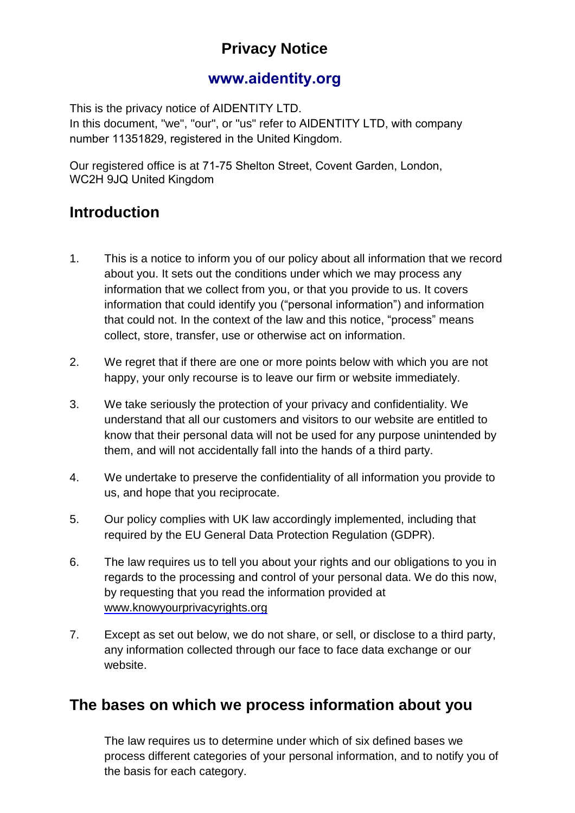# **Privacy Notice**

## **[www.aidentity.org](http://www.qisqi.com)**

This is the privacy notice of AIDENTITY LTD.

In this document, "we", "our", or "us" refer to AIDENTITY LTD, with company number 11351829, registered in the United Kingdom.

Our registered office is at 71-75 Shelton Street, Covent Garden, London, WC2H 9JQ United Kingdom

## **Introduction**

- 1. This is a notice to inform you of our policy about all information that we record about you. It sets out the conditions under which we may process any information that we collect from you, or that you provide to us. It covers information that could identify you ("personal information") and information that could not. In the context of the law and this notice, "process" means collect, store, transfer, use or otherwise act on information.
- 2. We regret that if there are one or more points below with which you are not happy, your only recourse is to leave our firm or website immediately.
- 3. We take seriously the protection of your privacy and confidentiality. We understand that all our customers and visitors to our website are entitled to know that their personal data will not be used for any purpose unintended by them, and will not accidentally fall into the hands of a third party.
- 4. We undertake to preserve the confidentiality of all information you provide to us, and hope that you reciprocate.
- 5. Our policy complies with UK law accordingly implemented, including that required by the EU General Data Protection Regulation (GDPR).
- 6. The law requires us to tell you about your rights and our obligations to you in regards to the processing and control of your personal data. We do this now, by requesting that you read the information provided at [www.knowyourprivacyrights.org](http://www.knowyourprivacyrights.org/)
- 7. Except as set out below, we do not share, or sell, or disclose to a third party, any information collected through our face to face data exchange or our website.

## **The bases on which we process information about you**

The law requires us to determine under which of six defined bases we process different categories of your personal information, and to notify you of the basis for each category.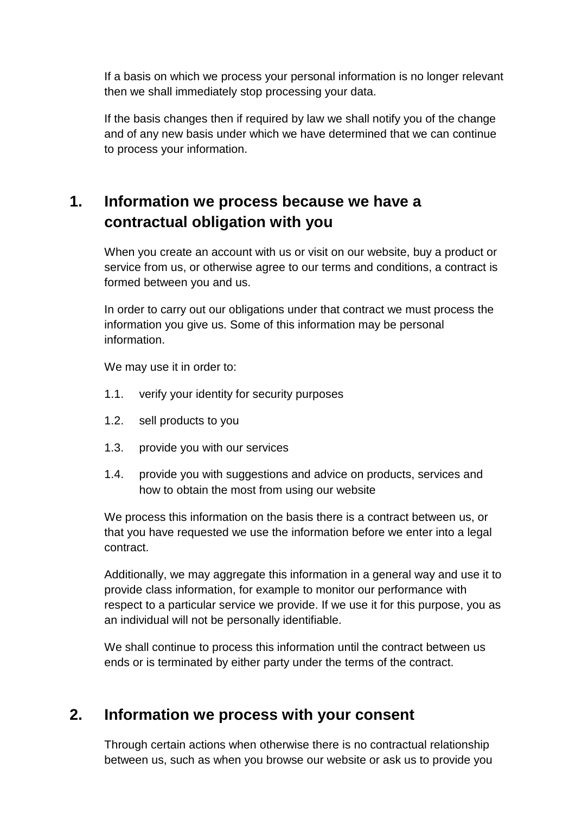If a basis on which we process your personal information is no longer relevant then we shall immediately stop processing your data.

If the basis changes then if required by law we shall notify you of the change and of any new basis under which we have determined that we can continue to process your information.

# **1. Information we process because we have a contractual obligation with you**

When you create an account with us or visit on our website, buy a product or service from us, or otherwise agree to our terms and conditions, a contract is formed between you and us.

In order to carry out our obligations under that contract we must process the information you give us. Some of this information may be personal information.

We may use it in order to:

- 1.1. verify your identity for security purposes
- 1.2. sell products to you
- 1.3. provide you with our services
- 1.4. provide you with suggestions and advice on products, services and how to obtain the most from using our website

We process this information on the basis there is a contract between us, or that you have requested we use the information before we enter into a legal contract.

Additionally, we may aggregate this information in a general way and use it to provide class information, for example to monitor our performance with respect to a particular service we provide. If we use it for this purpose, you as an individual will not be personally identifiable.

We shall continue to process this information until the contract between us ends or is terminated by either party under the terms of the contract.

## **2. Information we process with your consent**

Through certain actions when otherwise there is no contractual relationship between us, such as when you browse our website or ask us to provide you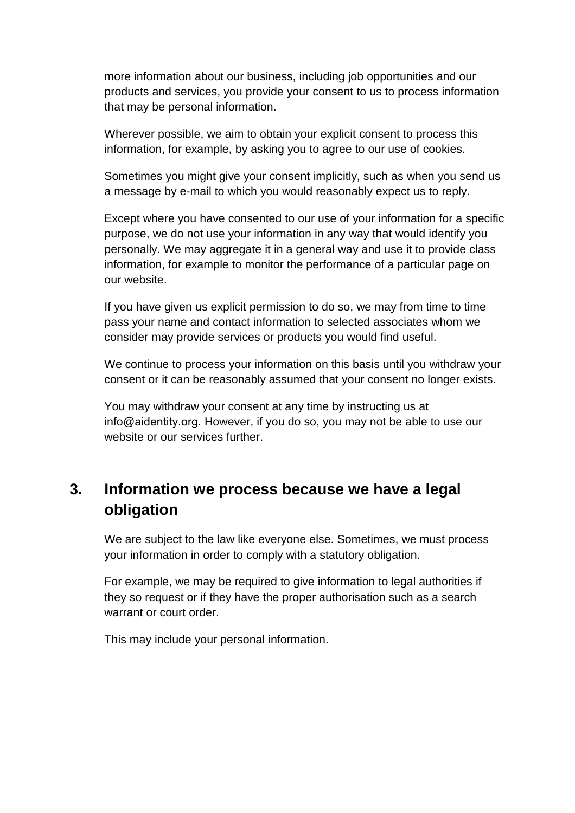more information about our business, including job opportunities and our products and services, you provide your consent to us to process information that may be personal information.

Wherever possible, we aim to obtain your explicit consent to process this information, for example, by asking you to agree to our use of cookies.

Sometimes you might give your consent implicitly, such as when you send us a message by e-mail to which you would reasonably expect us to reply.

Except where you have consented to our use of your information for a specific purpose, we do not use your information in any way that would identify you personally. We may aggregate it in a general way and use it to provide class information, for example to monitor the performance of a particular page on our website.

If you have given us explicit permission to do so, we may from time to time pass your name and contact information to selected associates whom we consider may provide services or products you would find useful.

We continue to process your information on this basis until you withdraw your consent or it can be reasonably assumed that your consent no longer exists.

You may withdraw your consent at any time by instructing us at info@aidentity.org. However, if you do so, you may not be able to use our website or our services further.

# **3. Information we process because we have a legal obligation**

We are subject to the law like everyone else. Sometimes, we must process your information in order to comply with a statutory obligation.

For example, we may be required to give information to legal authorities if they so request or if they have the proper authorisation such as a search warrant or court order.

This may include your personal information.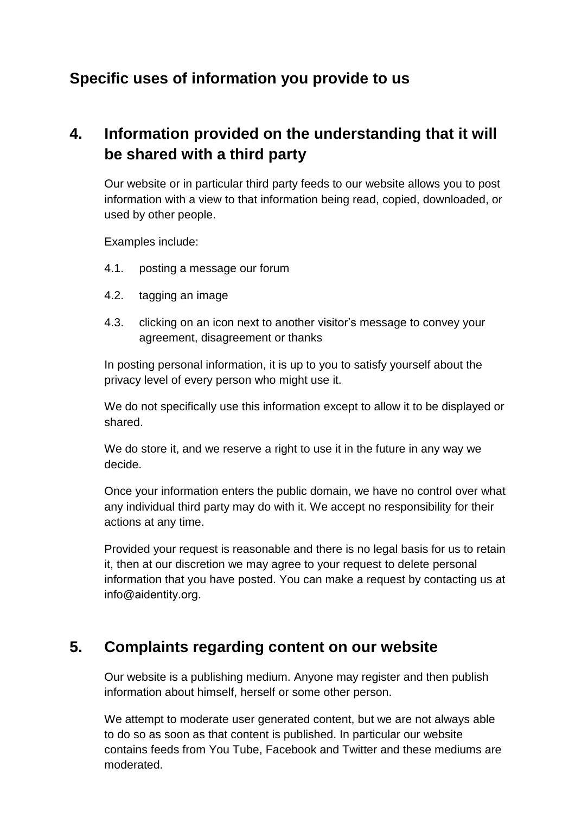## **Specific uses of information you provide to us**

# **4. Information provided on the understanding that it will be shared with a third party**

Our website or in particular third party feeds to our website allows you to post information with a view to that information being read, copied, downloaded, or used by other people.

Examples include:

- 4.1. posting a message our forum
- 4.2. tagging an image
- 4.3. clicking on an icon next to another visitor's message to convey your agreement, disagreement or thanks

In posting personal information, it is up to you to satisfy yourself about the privacy level of every person who might use it.

We do not specifically use this information except to allow it to be displayed or shared.

We do store it, and we reserve a right to use it in the future in any way we decide.

Once your information enters the public domain, we have no control over what any individual third party may do with it. We accept no responsibility for their actions at any time.

Provided your request is reasonable and there is no legal basis for us to retain it, then at our discretion we may agree to your request to delete personal information that you have posted. You can make a request by contacting us at info@aidentity.org.

## **5. Complaints regarding content on our website**

Our website is a publishing medium. Anyone may register and then publish information about himself, herself or some other person.

We attempt to moderate user generated content, but we are not always able to do so as soon as that content is published. In particular our website contains feeds from You Tube, Facebook and Twitter and these mediums are moderated.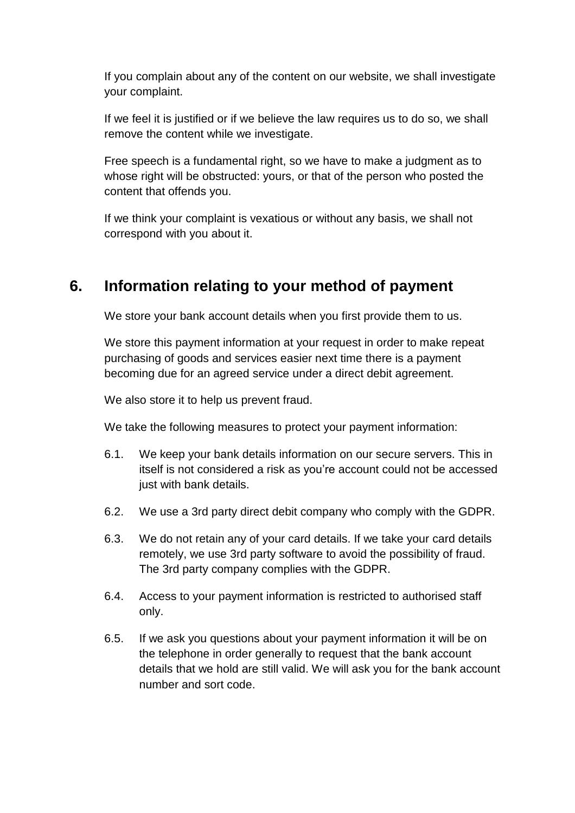If you complain about any of the content on our website, we shall investigate your complaint.

If we feel it is justified or if we believe the law requires us to do so, we shall remove the content while we investigate.

Free speech is a fundamental right, so we have to make a judgment as to whose right will be obstructed: yours, or that of the person who posted the content that offends you.

If we think your complaint is vexatious or without any basis, we shall not correspond with you about it.

## **6. Information relating to your method of payment**

We store your bank account details when you first provide them to us.

We store this payment information at your request in order to make repeat purchasing of goods and services easier next time there is a payment becoming due for an agreed service under a direct debit agreement.

We also store it to help us prevent fraud.

We take the following measures to protect your payment information:

- 6.1. We keep your bank details information on our secure servers. This in itself is not considered a risk as you're account could not be accessed just with bank details.
- 6.2. We use a 3rd party direct debit company who comply with the GDPR.
- 6.3. We do not retain any of your card details. If we take your card details remotely, we use 3rd party software to avoid the possibility of fraud. The 3rd party company complies with the GDPR.
- 6.4. Access to your payment information is restricted to authorised staff only.
- 6.5. If we ask you questions about your payment information it will be on the telephone in order generally to request that the bank account details that we hold are still valid. We will ask you for the bank account number and sort code.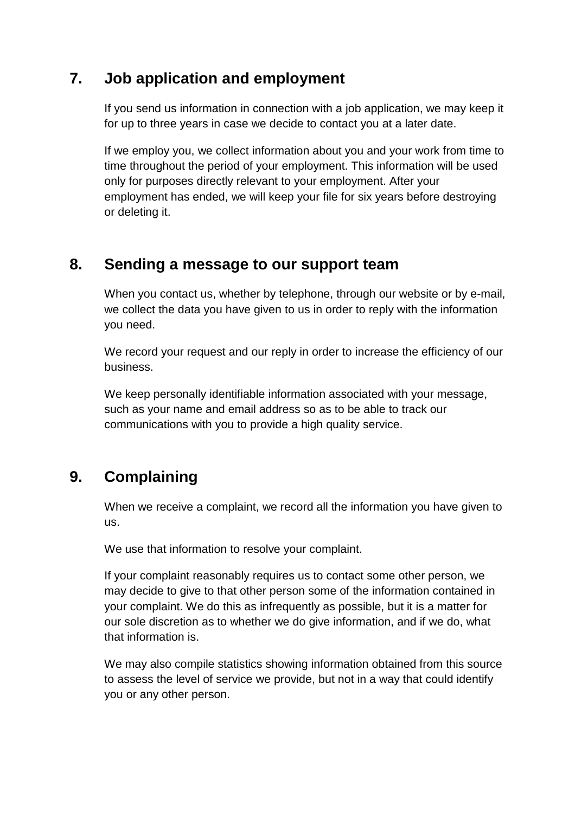## **7. Job application and employment**

If you send us information in connection with a job application, we may keep it for up to three years in case we decide to contact you at a later date.

If we employ you, we collect information about you and your work from time to time throughout the period of your employment. This information will be used only for purposes directly relevant to your employment. After your employment has ended, we will keep your file for six years before destroying or deleting it.

#### **8. Sending a message to our support team**

When you contact us, whether by telephone, through our website or by e-mail, we collect the data you have given to us in order to reply with the information you need.

We record your request and our reply in order to increase the efficiency of our business.

We keep personally identifiable information associated with your message, such as your name and email address so as to be able to track our communications with you to provide a high quality service.

## **9. Complaining**

When we receive a complaint, we record all the information you have given to us.

We use that information to resolve your complaint.

If your complaint reasonably requires us to contact some other person, we may decide to give to that other person some of the information contained in your complaint. We do this as infrequently as possible, but it is a matter for our sole discretion as to whether we do give information, and if we do, what that information is.

We may also compile statistics showing information obtained from this source to assess the level of service we provide, but not in a way that could identify you or any other person.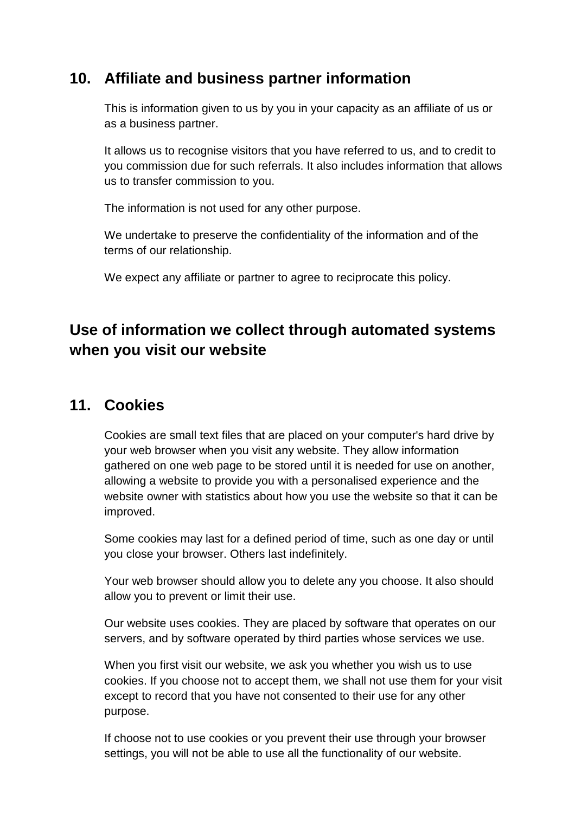#### **10. Affiliate and business partner information**

This is information given to us by you in your capacity as an affiliate of us or as a business partner.

It allows us to recognise visitors that you have referred to us, and to credit to you commission due for such referrals. It also includes information that allows us to transfer commission to you.

The information is not used for any other purpose.

We undertake to preserve the confidentiality of the information and of the terms of our relationship.

We expect any affiliate or partner to agree to reciprocate this policy.

# **Use of information we collect through automated systems when you visit our website**

#### **11. Cookies**

Cookies are small text files that are placed on your computer's hard drive by your web browser when you visit any website. They allow information gathered on one web page to be stored until it is needed for use on another, allowing a website to provide you with a personalised experience and the website owner with statistics about how you use the website so that it can be improved.

Some cookies may last for a defined period of time, such as one day or until you close your browser. Others last indefinitely.

Your web browser should allow you to delete any you choose. It also should allow you to prevent or limit their use.

Our website uses cookies. They are placed by software that operates on our servers, and by software operated by third parties whose services we use.

When you first visit our website, we ask you whether you wish us to use cookies. If you choose not to accept them, we shall not use them for your visit except to record that you have not consented to their use for any other purpose.

If choose not to use cookies or you prevent their use through your browser settings, you will not be able to use all the functionality of our website.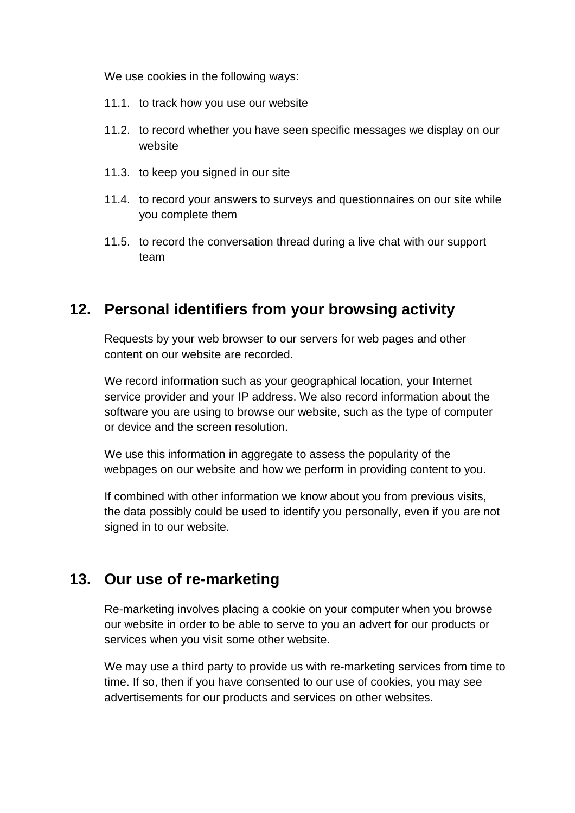We use cookies in the following ways:

- 11.1. to track how you use our website
- 11.2. to record whether you have seen specific messages we display on our website
- 11.3. to keep you signed in our site
- 11.4. to record your answers to surveys and questionnaires on our site while you complete them
- 11.5. to record the conversation thread during a live chat with our support team

## **12. Personal identifiers from your browsing activity**

Requests by your web browser to our servers for web pages and other content on our website are recorded.

We record information such as your geographical location, your Internet service provider and your IP address. We also record information about the software you are using to browse our website, such as the type of computer or device and the screen resolution.

We use this information in aggregate to assess the popularity of the webpages on our website and how we perform in providing content to you.

If combined with other information we know about you from previous visits, the data possibly could be used to identify you personally, even if you are not signed in to our website.

## **13. Our use of re-marketing**

Re-marketing involves placing a cookie on your computer when you browse our website in order to be able to serve to you an advert for our products or services when you visit some other website.

We may use a third party to provide us with re-marketing services from time to time. If so, then if you have consented to our use of cookies, you may see advertisements for our products and services on other websites.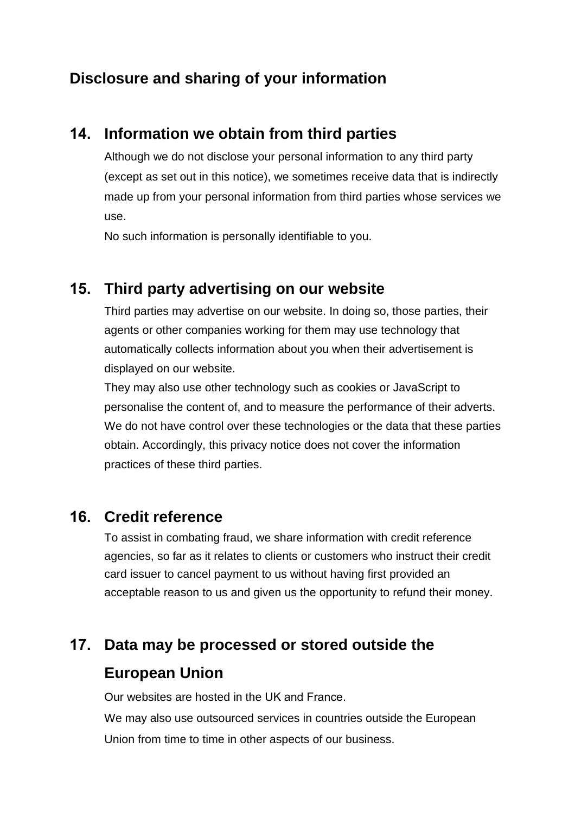# **Disclosure and sharing of your information**

## **14. Information we obtain from third parties**

Although we do not disclose your personal information to any third party (except as set out in this notice), we sometimes receive data that is indirectly made up from your personal information from third parties whose services we use.

No such information is personally identifiable to you.

#### **15. Third party advertising on our website**

Third parties may advertise on our website. In doing so, those parties, their agents or other companies working for them may use technology that automatically collects information about you when their advertisement is displayed on our website.

They may also use other technology such as cookies or JavaScript to personalise the content of, and to measure the performance of their adverts. We do not have control over these technologies or the data that these parties obtain. Accordingly, this privacy notice does not cover the information practices of these third parties.

#### **16. Credit reference**

To assist in combating fraud, we share information with credit reference agencies, so far as it relates to clients or customers who instruct their credit card issuer to cancel payment to us without having first provided an acceptable reason to us and given us the opportunity to refund their money.

# **17. Data may be processed or stored outside the European Union**

Our websites are hosted in the UK and France.

We may also use outsourced services in countries outside the European Union from time to time in other aspects of our business.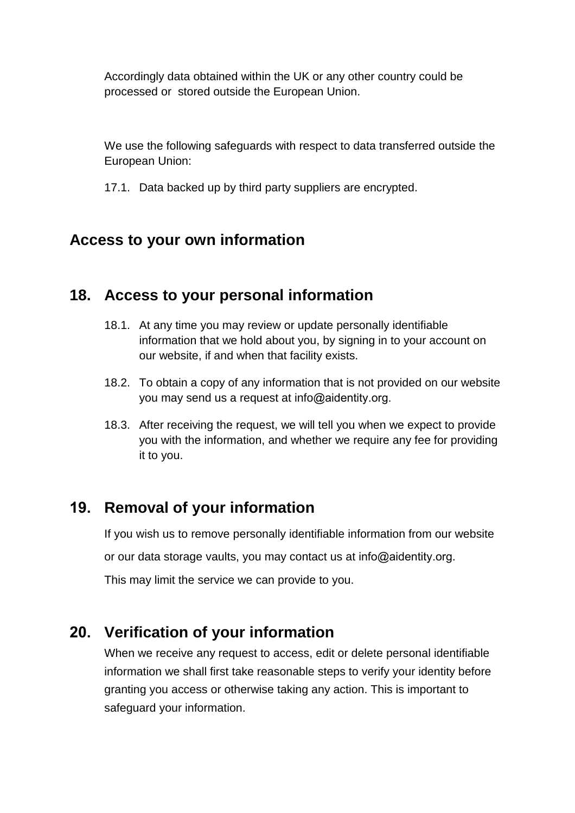Accordingly data obtained within the UK or any other country could be processed or stored outside the European Union.

We use the following safeguards with respect to data transferred outside the European Union:

17.1. Data backed up by third party suppliers are encrypted.

## **Access to your own information**

## **18. Access to your personal information**

- 18.1. At any time you may review or update personally identifiable information that we hold about you, by signing in to your account on our website, if and when that facility exists.
- 18.2. To obtain a copy of any information that is not provided on our website you may send us a request at info@aidentity.org.
- 18.3. After receiving the request, we will tell you when we expect to provide you with the information, and whether we require any fee for providing it to you.

# **19. Removal of your information**

If you wish us to remove personally identifiable information from our website

or our data storage vaults, you may contact us at info@aidentity.org.

This may limit the service we can provide to you.

## **20. Verification of your information**

When we receive any request to access, edit or delete personal identifiable information we shall first take reasonable steps to verify your identity before granting you access or otherwise taking any action. This is important to safeguard your information.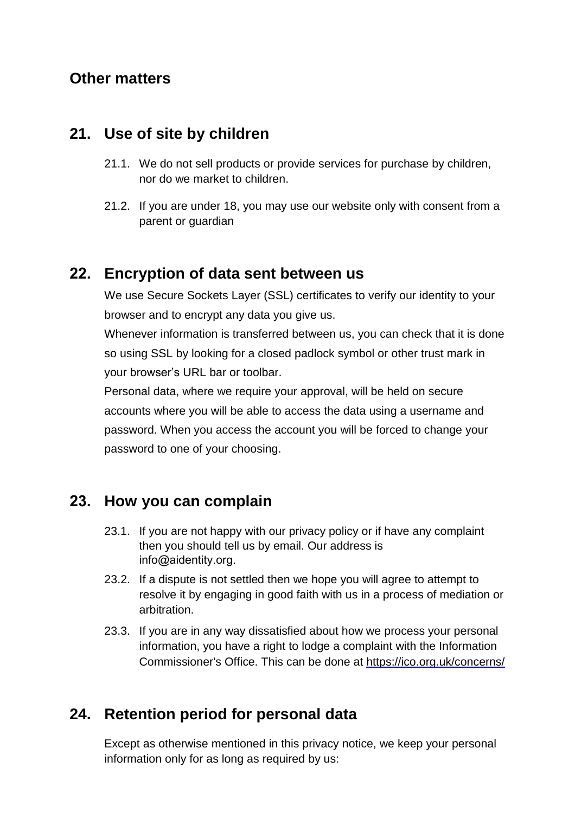#### **Other matters**

#### **21. Use of site by children**

- 21.1. We do not sell products or provide services for purchase by children, nor do we market to children.
- 21.2. If you are under 18, you may use our website only with consent from a parent or guardian

## **22. Encryption of data sent between us**

We use Secure Sockets Layer (SSL) certificates to verify our identity to your browser and to encrypt any data you give us.

Whenever information is transferred between us, you can check that it is done so using SSL by looking for a closed padlock symbol or other trust mark in your browser's URL bar or toolbar.

Personal data, where we require your approval, will be held on secure accounts where you will be able to access the data using a username and password. When you access the account you will be forced to change your password to one of your choosing.

## **23. How you can complain**

- 23.1. If you are not happy with our privacy policy or if have any complaint then you should tell us by email. Our address is info@aidentity.org.
- 23.2. If a dispute is not settled then we hope you will agree to attempt to resolve it by engaging in good faith with us in a process of mediation or arbitration.
- 23.3. If you are in any way dissatisfied about how we process your personal information, you have a right to lodge a complaint with the Information Commissioner's Office. This can be done at <https://ico.org.uk/concerns/>

## **24. Retention period for personal data**

Except as otherwise mentioned in this privacy notice, we keep your personal information only for as long as required by us: